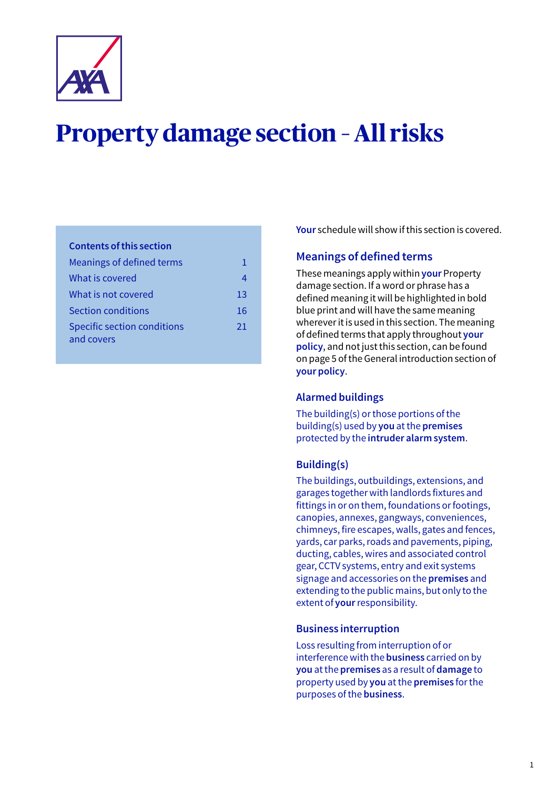

# **Property damage section – All risks**

## **Contents of this section**

| Meanings of defined terms                        |    |
|--------------------------------------------------|----|
| What is covered                                  |    |
| What is not covered                              | 13 |
| Section conditions                               | 16 |
| <b>Specific section conditions</b><br>and covers | 21 |

**Your** schedule will show if this section is covered.

## **Meanings of defined terms**

These meanings apply within **your** Property damage section. If a word or phrase has a defined meaning it will be highlighted in bold blue print and will have the same meaning wherever it is used in this section. The meaning of defined terms that apply throughout **your policy**, and not just this section, can be found on page 5 of the General introduction section of **your policy**.

## **Alarmed buildings**

The building(s) or those portions of the building(s) used by **you** at the **premises**  protected by the **intruder alarm system**.

## **Building(s)**

The buildings, outbuildings, extensions, and garages together with landlords fixtures and fittings in or on them, foundations or footings, canopies, annexes, gangways, conveniences, chimneys, fire escapes, walls, gates and fences, yards, car parks, roads and pavements, piping, ducting, cables, wires and associated control gear, CCTV systems, entry and exit systems signage and accessories on the **premises** and extending to the public mains, but only to the extent of **your** responsibility.

## **Business interruption**

Loss resulting from interruption of or interference with the **business** carried on by **you** at the **premises** as a result of **damage** to property used by **you** at the **premises** for the purposes of the **business**.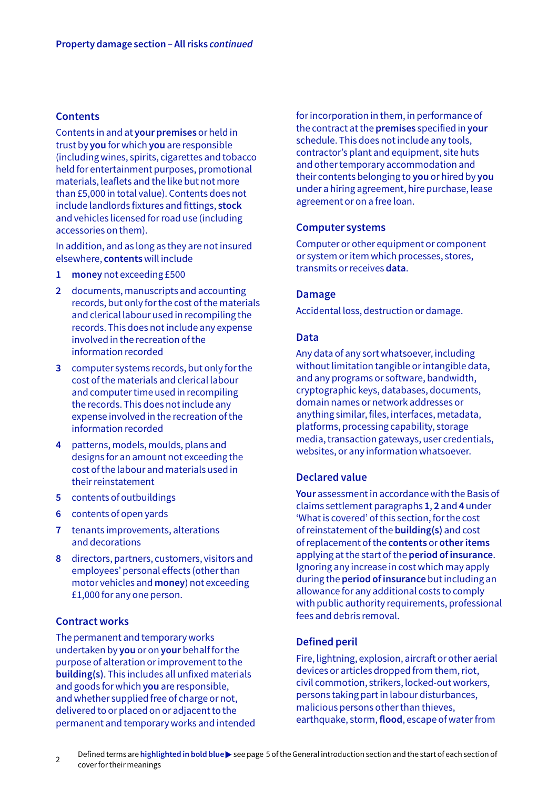#### **Contents**

Contents in and at **your premises** or held in trust by **you** for which **you** are responsible (including wines, spirits, cigarettes and tobacco held for entertainment purposes, promotional materials, leaflets and the like but not more than £5,000 in total value). Contents does not include landlords fixtures and fittings, **stock** and vehicles licensed for road use (including accessories on them).

In addition, and as long as they are not insured elsewhere, **contents** will include

- **1 money** not exceeding £500
- **2** documents, manuscripts and accounting records, but only for the cost of the materials and clerical labour used in recompiling the records. This does not include any expense involved in the recreation of the information recorded
- **3** computer systems records, but only for the cost of the materials and clerical labour and computer time used in recompiling the records. This does not include any expense involved in the recreation of the information recorded
- **4** patterns, models, moulds, plans and designs for an amount not exceeding the cost of the labour and materials used in their reinstatement
- **5** contents of outbuildings
- **6** contents of open yards
- **7** tenants improvements, alterations and decorations
- **8** directors, partners, customers, visitors and employees' personal effects (other than motor vehicles and **money**) not exceeding £1,000 for any one person.

## **Contract works**

The permanent and temporary works undertaken by **you** or on **your** behalf for the purpose of alteration or improvement to the **building(s)**. This includes all unfixed materials and goods for which **you** are responsible, and whether supplied free of charge or not, delivered to or placed on or adjacent to the permanent and temporary works and intended for incorporation in them, in performance of the contract at the **premises** specified in **your** schedule. This does not include any tools, contractor's plant and equipment, site huts and other temporary accommodation and their contents belonging to **you** or hired by **you** under a hiring agreement, hire purchase, lease agreement or on a free loan.

#### **Computer systems**

Computer or other equipment or component or system or item which processes, stores, transmits or receives **data**.

#### **Damage**

Accidental loss, destruction or damage.

#### **Data**

Any data of any sort whatsoever, including without limitation tangible or intangible data, and any programs or software, bandwidth, cryptographic keys, databases, documents, domain names or network addresses or anything similar, files, interfaces, metadata, platforms, processing capability, storage media, transaction gateways, user credentials, websites, or any information whatsoever.

#### **Declared value**

**Your** assessment in accordance with the Basis of claims settlement paragraphs **1**, **2** and **4** under 'What is covered' of this section, for the cost of reinstatement of the **building(s)** and cost of replacement of the **contents** or **other items** applying at the start of the **period of insurance**. Ignoring any increase in cost which may apply during the **period of insurance** but including an allowance for any additional costs to comply with public authority requirements, professional fees and debris removal.

## **Defined peril**

Fire, lightning, explosion, aircraft or other aerial devices or articles dropped from them, riot, civil commotion, strikers, locked-out workers, persons taking part in labour disturbances, malicious persons other than thieves, earthquake, storm, **flood**, escape of water from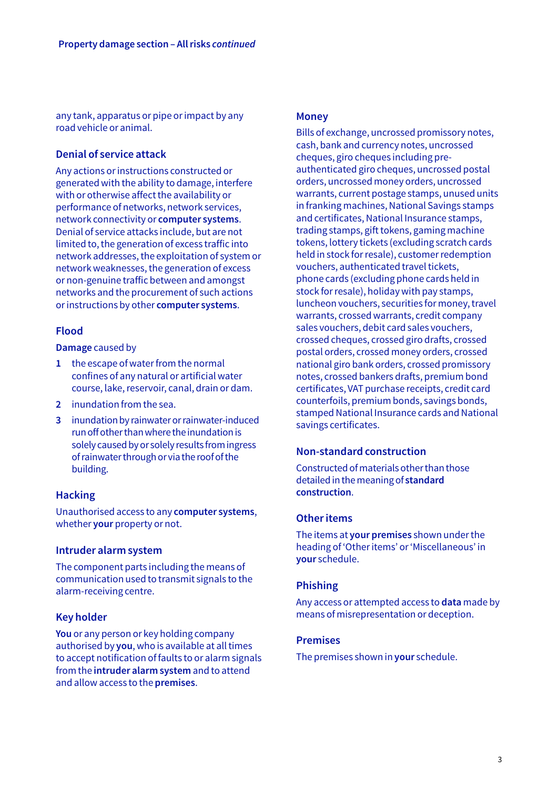any tank, apparatus or pipe or impact by any road vehicle or animal.

## **Denial of service attack**

Any actions or instructions constructed or generated with the ability to damage, interfere with or otherwise affect the availability or performance of networks, network services, network connectivity or **computer systems**. Denial of service attacks include, but are not limited to, the generation of excess traffic into network addresses, the exploitation of system or network weaknesses, the generation of excess or non-genuine traffic between and amongst networks and the procurement of such actions or instructions by other **computer systems**.

## **Flood**

#### **Damage** caused by

- **1** the escape of water from the normal confines of any natural or artificial water course, lake, reservoir, canal, drain or dam.
- **2** inundation from the sea.
- **3** inundation by rainwater or rainwater-induced run off other than where the inundation is solely caused by or solely results from ingress of rainwater through or via the roof of the building.

## **Hacking**

Unauthorised access to any **computer systems**, whether **your** property or not.

#### **Intruder alarm system**

The component parts including the means of communication used to transmit signals to the alarm-receiving centre.

## **Key holder**

**You** or any person or key holding company authorised by **you**, who is available at all times to accept notification of faults to or alarm signals from the **intruder alarm system** and to attend and allow access to the **premises**.

## **Money**

Bills of exchange, uncrossed promissory notes, cash, bank and currency notes, uncrossed cheques, giro cheques including preauthenticated giro cheques, uncrossed postal orders, uncrossed money orders, uncrossed warrants, current postage stamps, unused units in franking machines, National Savings stamps and certificates, National Insurance stamps, trading stamps, gift tokens, gaming machine tokens, lottery tickets (excluding scratch cards held in stock for resale), customer redemption vouchers, authenticated travel tickets, phone cards (excluding phone cards held in stock for resale), holiday with pay stamps, luncheon vouchers, securities for money, travel warrants, crossed warrants, credit company sales vouchers, debit card sales vouchers, crossed cheques, crossed giro drafts, crossed postal orders, crossed money orders, crossed national giro bank orders, crossed promissory notes, crossed bankers drafts, premium bond certificates, VAT purchase receipts, credit card counterfoils, premium bonds, savings bonds, stamped National Insurance cards and National savings certificates.

## **Non-standard construction**

Constructed of materials other than those detailed in the meaning of **standard construction**.

## **Other items**

The items at **your premises** shown under the heading of 'Other items' or 'Miscellaneous' in **your** schedule.

## **Phishing**

Any access or attempted access to **data** made by means of misrepresentation or deception.

#### **Premises**

The premises shown in **your** schedule.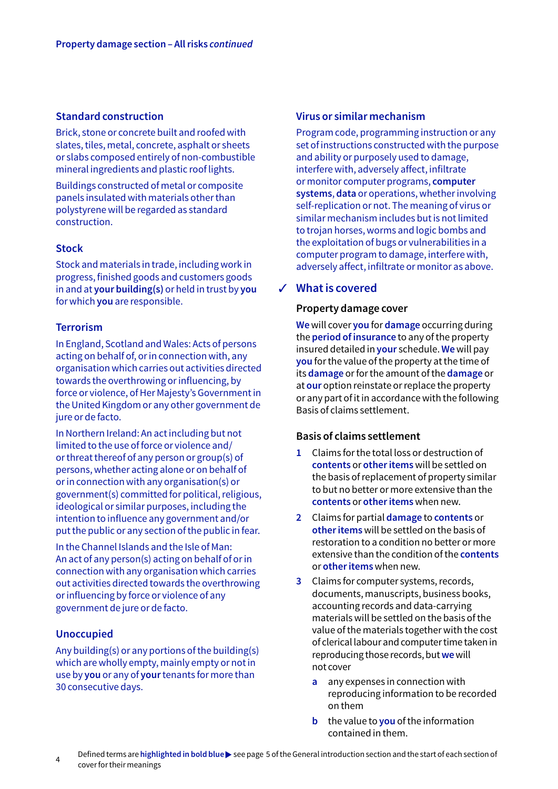#### <span id="page-3-0"></span>**Standard construction**

Brick, stone or concrete built and roofed with slates, tiles, metal, concrete, asphalt or sheets or slabs composed entirely of non-combustible mineral ingredients and plastic roof lights.

Buildings constructed of metal or composite panels insulated with materials other than polystyrene will be regarded as standard construction.

#### **Stock**

Stock and materials in trade, including work in progress, finished goods and customers goods in and at **your building(s)** or held in trust by **you** for which **you** are responsible.

## **Terrorism**

In England, Scotland and Wales: Acts of persons acting on behalf of, or in connection with, any organisation which carries out activities directed towards the overthrowing or influencing, by force or violence, of Her Majesty's Government in the United Kingdom or any other government de jure or de facto.

In Northern Ireland: An act including but not limited to the use of force or violence and/ or threat thereof of any person or group(s) of persons, whether acting alone or on behalf of or in connection with any organisation(s) or government(s) committed for political, religious, ideological or similar purposes, including the intention to influence any government and/or put the public or any section of the public in fear.

In the Channel Islands and the Isle of Man: An act of any person(s) acting on behalf of or in connection with any organisation which carries out activities directed towards the overthrowing or influencing by force or violence of any government de jure or de facto.

## **Unoccupied**

Any building(s) or any portions of the building(s) which are wholly empty, mainly empty or not in use by **you** or any of **your** tenants for more than 30 consecutive days.

#### **Virus or similar mechanism**

Program code, programming instruction or any set of instructions constructed with the purpose and ability or purposely used to damage, interfere with, adversely affect, infiltrate or monitor computer programs, **computer systems**, **data** or operations, whether involving self-replication or not. The meaning of virus or similar mechanism includes but is not limited to trojan horses, worms and logic bombs and the exploitation of bugs or vulnerabilities in a computer program to damage, interfere with, adversely affect, infiltrate or monitor as above.

## **What is covered** 3

#### **Property damage cover**

**We** will cover **you** for **damage** occurring during the **period of insurance** to any of the property insured detailed in **your** schedule. **We** will pay **you** forthe value of the property at the time of its **damage** or for the amount of the **damage** or at **our** option reinstate or replace the property or any part of it in accordance with the following Basis of claims settlement.

## **Basis of claims settlement**

- **1** Claims for the total loss or destruction of **contents** or **other items** will be settled on the basis of replacement of property similar to but no better or more extensive than the **contents** or **other items** when new.
- **2** Claims for partial **damage** to **contents** or **other items** will be settled on the basis of restoration to a condition no better or more extensive than the condition of the **contents**  or **other items** when new.
- **3** Claims for computer systems, records, documents, manuscripts, business books, accounting records and data-carrying materials will be settled on the basis of the value of the materials together with the cost of clerical labour and computer time taken in reproducing those records, but **we** will not cover
	- **a** any expenses in connection with reproducing information to be recorded on them
	- **b** the value to **you** of the information contained in them.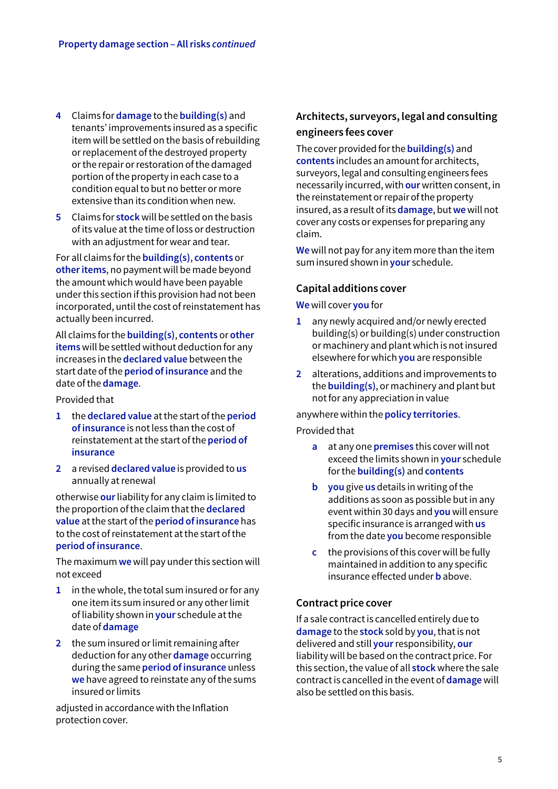- **4** Claims for **damage** to the **building(s)** and tenants' improvements insured as a specific item will be settled on the basis of rebuilding or replacement of the destroyed property or the repair or restoration of the damaged portion of the property in each case to a condition equal to but no better or more extensive than its condition when new.
- **5** Claims for **stock** will be settled on the basis of its value at the time of loss or destruction with an adjustment for wear and tear.

For all claims for the **building(s)**, **contents** or **other items**, no payment will be made beyond the amount which would have been payable under this section if this provision had not been incorporated, until the cost of reinstatement has actually been incurred.

All claims for the **building(s)**, **contents** or **other items** will be settled without deduction for any increases in the **declared value** between the start date of the **period of insurance** and the date of the **damage**.

Provided that

- **1** the **declared value** at the start of the **period of insurance** is not less than the cost of reinstatement at the start of the **period of insurance**
- **2** a revised **declared value** is provided to **us**  annually at renewal

otherwise **our** liability for any claim is limited to the proportion of the claim that the **declared value** at the start of the **period of insurance** has to the cost of reinstatement at the start of the **period of insurance**.

The maximum **we** will pay under this section will not exceed

- **1** in the whole, the total sum insured or for any one item its sum insured or any other limit of liability shown in **your** schedule at the date of **damage**
- **2** the sum insured or limit remaining after deduction for any other **damage** occurring during the same **period of insurance** unless **we** have agreed to reinstate any of the sums insured or limits

adjusted in accordance with the Inflation protection cover.

## **Architects, surveyors, legal and consulting engineers fees cover**

The cover provided for the **building(s)** and **contents** includes an amount for architects, surveyors, legal and consulting engineers fees necessarily incurred, with **our** written consent, in the reinstatement or repair of the property insured, as a result of its **damage**, but **we** will not cover any costs or expenses for preparing any claim.

**We** will not pay for any item more than the item sum insured shown in **your** schedule.

## **Capital additions cover**

**We** will cover **you** for

- **1** any newly acquired and/or newly erected building(s) or building(s) under construction or machinery and plant which is not insured elsewhere for which **you** are responsible
- **2** alterations, additions and improvements to the **building(s)**, or machinery and plant but not for any appreciation in value

#### anywhere within the **policy territories**.

Provided that

- **a** at any one **premises** this cover will not exceed the limits shown in **your** schedule for the **building(s)** and **contents**
- **b you** give **us** details in writing of the additions as soon as possible but in any event within 30 days and **you** will ensure specific insurance is arranged with **us** from the date **you** become responsible
- **c** the provisions of this cover will be fully maintained in addition to any specific insurance effected under **b** above.

## **Contract price cover**

If a sale contract is cancelled entirely due to **damage** to the **stock** sold by **you**, that is not delivered and still **your** responsibility, **our** liability will be based on the contract price. For this section, the value of all **stock** where the sale contract is cancelled in the event of **damage** will also be settled on this basis.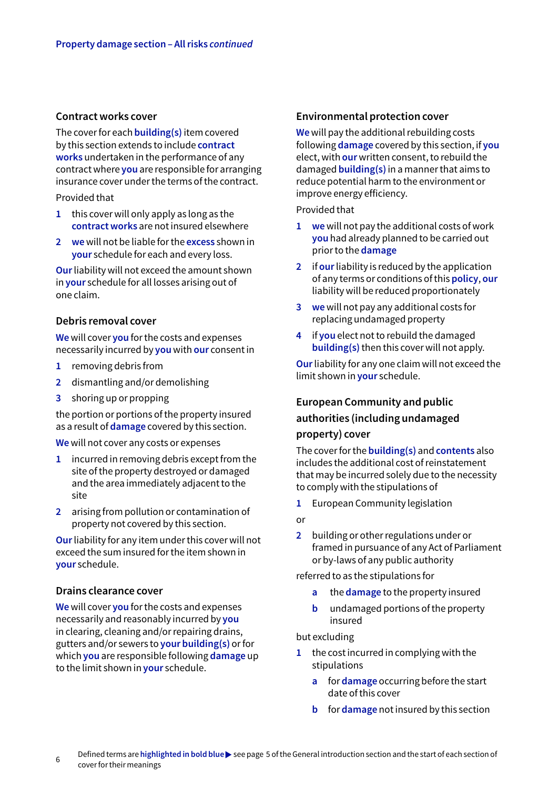#### **Contract works cover**

The cover for each **building(s)** item covered by this section extends to include **contract works** undertaken in the performance of any contract where **you** are responsible for arranging insurance cover under the terms of the contract.

Provided that

- **1** this cover will only apply as long as the **contract works** are not insured elsewhere
- **2 we** will not be liable for the **excess** shown in **your** schedule for each and every loss.

**Our** liability will not exceed the amount shown in **your** schedule for all losses arising out of one claim.

## **Debris removal cover**

**We** will cover **you** for the costs and expenses necessarily incurred by **you** with **our** consent in

- **1** removing debris from
- **2** dismantling and/or demolishing
- **3** shoring up or propping

the portion or portions of the property insured as a result of **damage** covered by this section.

**We** will not cover any costs or expenses

- **1** incurred in removing debris except from the site of the property destroyed or damaged and the area immediately adjacent to the site
- **2** arising from pollution or contamination of property not covered by this section.

**Our** liability for any item under this cover will not exceed the sum insured for the item shown in **your** schedule.

## **Drains clearance cover**

**We** will cover **you** for the costs and expenses necessarily and reasonably incurred by **you** in clearing, cleaning and/or repairing drains, gutters and/or sewers to **your building(s)** or for which **you** are responsible following **damage** up to the limit shown in **your** schedule.

#### **Environmental protection cover**

**We** will pay the additional rebuilding costs following **damage** covered by this section, if **you** elect, with **our** written consent, to rebuild the damaged **building(s)** in a manner that aims to reduce potential harm to the environment or improve energy efficiency.

Provided that

- **1 we** will not pay the additional costs of work **you** had already planned to be carried out prior to the **damage**
- **2** if **our** liability is reduced by the application of any terms or conditions of this **policy**, **our** liability will be reduced proportionately
- **3 we** will not pay any additional costs for replacing undamaged property
- **4** if **you** elect not to rebuild the damaged **building(s)** then this cover will not apply.

**Our** liability for any one claim will not exceed the limit shown in **your** schedule.

## **European Community and public authorities (including undamaged property) cover**

The cover for the **building(s)** and **contents** also includes the additional cost of reinstatement that may be incurred solely due to the necessity to comply with the stipulations of

**1** European Community legislation

or

**2** building or other regulations under or framed in pursuance of any Act of Parliament or by-laws of any public authority

referred to as the stipulations for

- **a** the **damage** to the property insured
- **b** undamaged portions of the property insured

#### but excluding

- **1** the cost incurred in complying with the stipulations
	- **a** for **damage** occurring before the start date of this cover
	- **b** for **damage** not insured by this section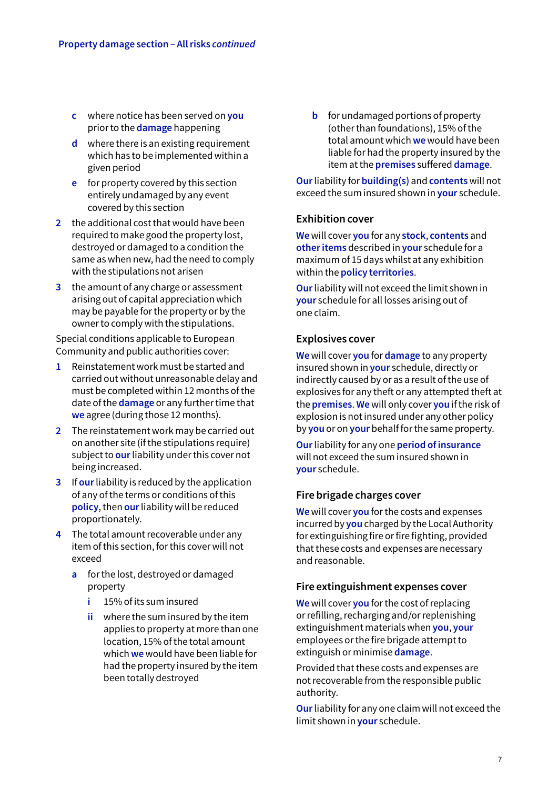- **c** where notice has been served on **you**  prior to the **damage** happening
- **d** where there is an existing requirement which has to be implemented within a given period
- **e** for property covered by this section entirely undamaged by any event covered by this section
- **2** the additional cost that would have been required to make good the property lost, destroyed or damaged to a condition the same as when new, had the need to comply with the stipulations not arisen
- **3** the amount of any charge or assessment arising out of capital appreciation which may be payable for the property or by the owner to comply with the stipulations.

Special conditions applicable to European Community and public authorities cover:

- **1** Reinstatement work must be started and carried out without unreasonable delay and must be completed within 12 months of the date of the **damage** or any further time that **we** agree (during those 12 months).
- **2** The reinstatement work may be carried out on another site (if the stipulations require) subject to **our** liability under this cover not being increased.
- **3** If **our** liability is reduced by the application of any of the terms or conditions of this **policy**, then **our** liability will be reduced proportionately.
- **4** The total amount recoverable under any item of this section, for this cover will not exceed
	- **a** for the lost, destroyed or damaged property
		- **i** 15% of its sum insured
		- **ii** where the sum insured by the item applies to property at more than one location, 15% of the total amount which **we** would have been liable for had the property insured by the item been totally destroyed

**b** for undamaged portions of property (other than foundations), 15% of the total amount which **we** would have been liable for had the property insured by the item at the **premises** suffered **damage**.

**Our** liability for **building(s)** and **contents** will not exceed the sum insured shown in **your** schedule.

## **Exhibition cover**

**We** will cover **you** for any **stock**, **contents** and **other items** described in **your** schedule for a maximum of 15 days whilst at any exhibition within the **policy territories**.

**Our** liability will not exceed the limit shown in **your** schedule for all losses arising out of one claim.

## **Explosives cover**

**We** will cover **you** for **damage** to any property insured shown in **your** schedule, directly or indirectly caused by or as a result of the use of explosives for any theft or any attempted theft at the **premises**. **We** will only cover **you** if the risk of explosion is not insured under any other policy by **you** or on **your** behalf for the same property.

**Our** liability for any one **period of insurance**  will not exceed the sum insured shown in **your** schedule.

## **Fire brigade charges cover**

**We** will cover **you** for the costs and expenses incurred by **you** charged by the Local Authority for extinguishing fire or fire fighting, provided that these costs and expenses are necessary and reasonable.

## **Fire extinguishment expenses cover**

**We** will cover **you** for the cost of replacing or refilling, recharging and/or replenishing extinguishment materials when **you**, **your** employees or the fire brigade attempt to extinguish or minimise **damage**.

Provided that these costs and expenses are not recoverable from the responsible public authority.

**Our** liability for any one claim will not exceed the limit shown in **your** schedule.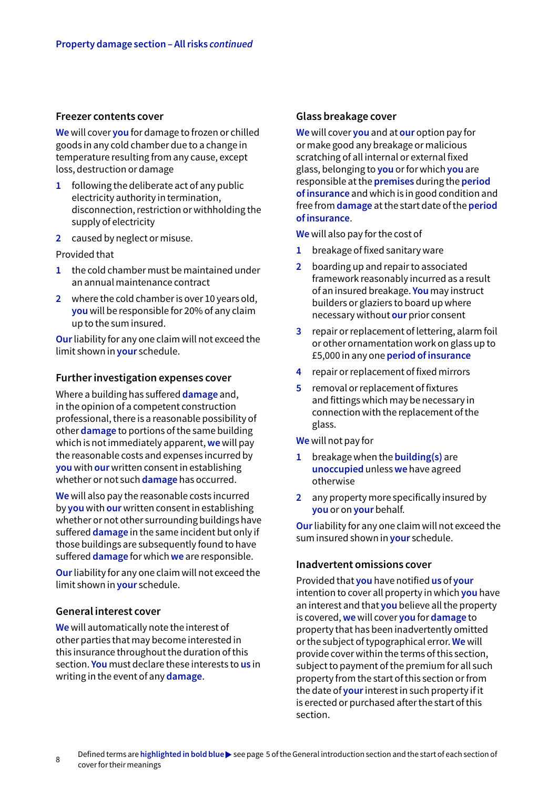#### **Freezer contents cover**

**We** will cover **you** for damage to frozen or chilled goods in any cold chamber due to a change in temperature resulting from any cause, except loss, destruction or damage

- **1** following the deliberate act of any public electricity authority in termination, disconnection, restriction or withholding the supply of electricity
- **2** caused by neglect or misuse.

Provided that

- **1** the cold chamber must be maintained under an annual maintenance contract
- **2** where the cold chamber is over 10 years old, **you** will be responsible for 20% of any claim up to the sum insured.

**Our** liability for any one claim will not exceed the limit shown in **your** schedule.

#### **Further investigation expenses cover**

Where a building has suffered **damage** and, in the opinion of a competent construction professional, there is a reasonable possibility of other **damage** to portions of the same building which is not immediately apparent, **we** will pay the reasonable costs and expenses incurred by **you** with **our** written consent in establishing whether or not such **damage** has occurred.

**We** will also pay the reasonable costs incurred by **you** with **our** written consent in establishing whether or not other surrounding buildings have suffered **damage** in the same incident but only if those buildings are subsequently found to have suffered **damage** for which **we** are responsible.

**Our** liability for any one claim will not exceed the limit shown in **your** schedule.

## **General interest cover**

**We** will automatically note the interest of other parties that may become interested in this insurance throughout the duration of this section. **You** must declare these interests to **us** in writing in the event of any **damage**.

#### **Glass breakage cover**

**We** will cover **you** and at **our** option pay for or make good any breakage or malicious scratching of all internal or external fixed glass, belonging to **you** or for which **you** are responsible at the **premises** during the **period of insurance** and which is in good condition and free from **damage** at the start date of the **period of insurance**.

**We** will also pay for the cost of

- **1** breakage of fixed sanitary ware
- **2** boarding up and repair to associated framework reasonably incurred as a result of an insured breakage. **You** may instruct builders or glaziers to board up where necessary without **our** prior consent
- **3** repair or replacement of lettering, alarm foil or other ornamentation work on glass up to £5,000 in any one **period of insurance**
- **4** repair or replacement of fixed mirrors
- **5** removal or replacement of fixtures and fittings which may be necessary in connection with the replacement of the glass.

**We** will not pay for

- **1** breakage when the **building(s)** are **unoccupied** unless **we** have agreed otherwise
- **2** any property more specifically insured by **you** or on **your** behalf.

**Our** liability for any one claim will not exceed the sum insured shown in **your** schedule.

#### **Inadvertent omissions cover**

Provided that **you** have notified **us** of **your** intention to cover all property in which **you** have an interest and that **you** believe all the property is covered, **we** will cover **you** for **damage** to property that has been inadvertently omitted or the subject of typographical error. **We** will provide cover within the terms of this section, subject to payment of the premium for all such property from the start of this section or from the date of **your** interest in such property if it is erected or purchased after the start of this section.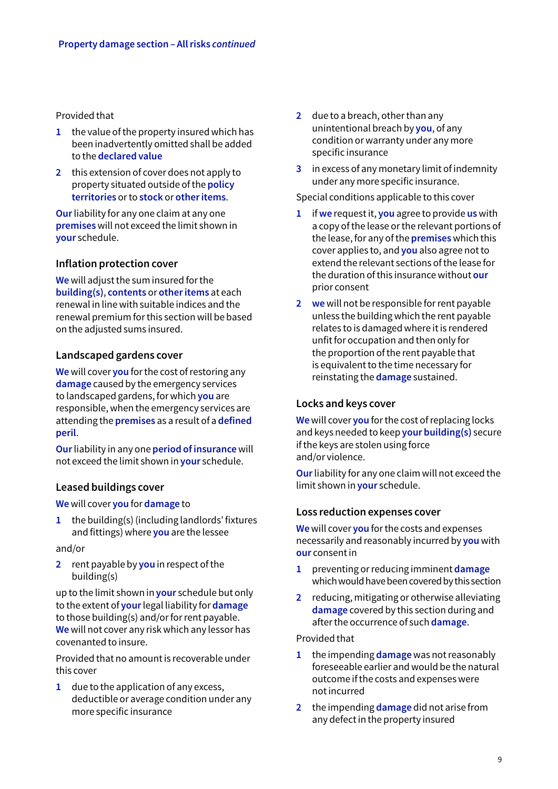Provided that

- **1** the value of the property insured which has been inadvertently omitted shall be added to the **declared value**
- **2** this extension of cover does not apply to property situated outside of the **policy territories** or to **stock** or **other items**.

**Our** liability for any one claim at any one **premises** will not exceed the limit shown in **your** schedule.

## **Inflation protection cover**

**We** will adjust the sum insured for the **building(s)**, **contents** or **other items** at each renewal in line with suitable indices and the renewal premium for this section will be based on the adjusted sums insured.

#### **Landscaped gardens cover**

**We** will cover **you** for the cost of restoring any **damage** caused by the emergency services to landscaped gardens, for which **you** are responsible, when the emergency services are attending the **premises** as a result of a **defined peril**.

**Our** liability in any one **period of insurance** will not exceed the limit shown in **your** schedule.

## **Leased buildings cover**

**We** will cover **you** for **damage** to

**1** the building(s) (including landlords' fixtures and fittings) where **you** are the lessee

and/or

**2** rent payable by **you** in respect of the building(s)

up to the limit shown in **your** schedule but only to the extent of **your** legal liability for **damage**  to those building(s) and/or for rent payable. **We** will not cover any risk which any lessor has covenanted to insure.

Provided that no amount is recoverable under this cover

**1** due to the application of any excess, deductible or average condition under any more specific insurance

- **2** due to a breach, other than any unintentional breach by **you**, of any condition or warranty under any more specific insurance
- **3** in excess of any monetary limit of indemnity under any more specific insurance.

Special conditions applicable to this cover

- **1** if **we** request it, **you** agree to provide **us** with a copy of the lease or the relevant portions of the lease, for any of the **premises** which this cover applies to, and **you** also agree not to extend the relevant sections of the lease for the duration of this insurance without **our** prior consent
- **2 we** will not be responsible for rent payable unless the building which the rent payable relates to is damaged where it is rendered unfit for occupation and then only for the proportion of the rent payable that is equivalent to the time necessary for reinstating the **damage** sustained.

## **Locks and keys cover**

**We** will cover **you** for the cost of replacing locks and keys needed to keep **your building(s)** secure if the keys are stolen using force and/or violence.

**Our** liability for any one claim will not exceed the limit shown in **your** schedule.

#### **Loss reduction expenses cover**

**We** will cover **you** for the costs and expenses necessarily and reasonably incurred by **you** with **our** consent in

- **1** preventing or reducing imminent **damage** which would have been covered by this section
- **2** reducing, mitigating or otherwise alleviating **damage** covered by this section during and after the occurrence of such **damage**.

Provided that

- **1** the impending **damage** was not reasonably foreseeable earlier and would be the natural outcome if the costs and expenses were not incurred
- **2** the impending **damage** did not arise from any defect in the property insured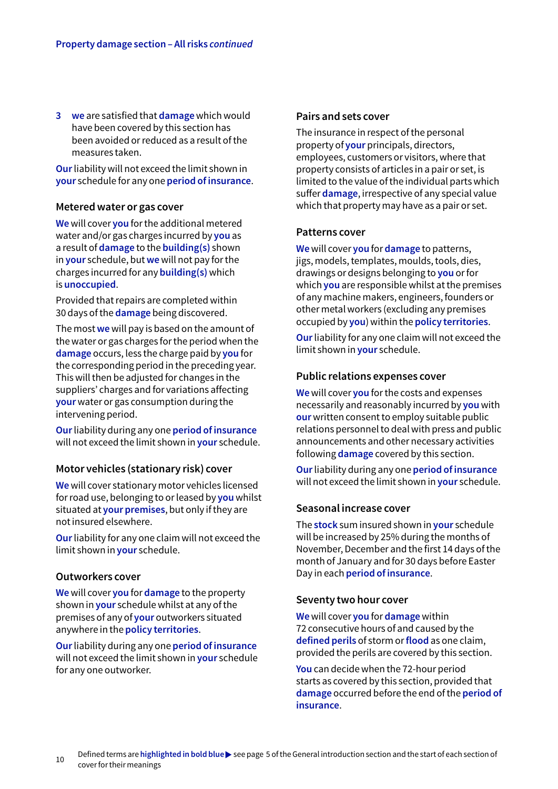**3 we** are satisfied that **damage** which would have been covered by this section has been avoided or reduced as a result of the measures taken.

**Our** liability will not exceed the limit shown in **your** schedule for any one **period of insurance**.

#### **Metered water or gas cover**

**We** will cover **you** for the additional metered water and/or gas charges incurred by **you** as a result of **damage** to the **building(s)** shown in **your** schedule, but **we** will not pay for the charges incurred for any **building(s)** which is **unoccupied**.

Provided that repairs are completed within 30 days of the **damage** being discovered.

The most **we** will pay is based on the amount of the water or gas charges for the period when the **damage** occurs, less the charge paid by **you** for the corresponding period in the preceding year. This will then be adjusted for changes in the suppliers' charges and for variations affecting **your** water or gas consumption during the intervening period.

**Our** liability during any one **period of insurance**  will not exceed the limit shown in **your** schedule.

## **Motor vehicles (stationary risk) cover**

**We** will cover stationary motor vehicles licensed for road use, belonging to or leased by **you** whilst situated at **your premises**, but only if they are not insured elsewhere.

**Our** liability for any one claim will not exceed the limit shown in **your** schedule.

#### **Outworkers cover**

**We** will cover **you** for **damage** to the property shown in **your** schedule whilst at any of the premises of any of **your** outworkers situated anywhere in the **policy territories**.

**Our** liability during any one **period of insurance**  will not exceed the limit shown in **your** schedule for any one outworker.

#### **Pairs and sets cover**

The insurance in respect of the personal property of **your** principals, directors, employees, customers or visitors, where that property consists of articles in a pair or set, is limited to the value of the individual parts which suffer **damage**, irrespective of any special value which that property may have as a pair or set.

#### **Patterns cover**

**We** will cover **you** for **damage** to patterns, jigs, models, templates, moulds, tools, dies, drawings or designs belonging to **you** or for which **you** are responsible whilst at the premises of any machine makers, engineers, founders or other metal workers (excluding any premises occupied by **you**) within the **policy territories**.

**Our** liability for any one claim will not exceed the limit shown in **your** schedule.

## **Public relations expenses cover**

**We** will cover **you** for the costs and expenses necessarily and reasonably incurred by **you** with **our** written consent to employ suitable public relations personnel to deal with press and public announcements and other necessary activities following **damage** covered by this section.

**Our** liability during any one **period of insurance** will not exceed the limit shown in **your** schedule.

## **Seasonal increase cover**

The **stock** sum insured shown in **your** schedule will be increased by 25% during the months of November, December and the first 14 days of the month of January and for 30 days before Easter Day in each **period of insurance**.

## **Seventy two hour cover**

**We** will cover **you** for **damage** within 72 consecutive hours of and caused by the **defined perils** of storm or **flood** as one claim, provided the perils are covered by this section.

**You** can decide when the 72-hour period starts as covered by this section, provided that **damage** occurred before the end of the **period of insurance**.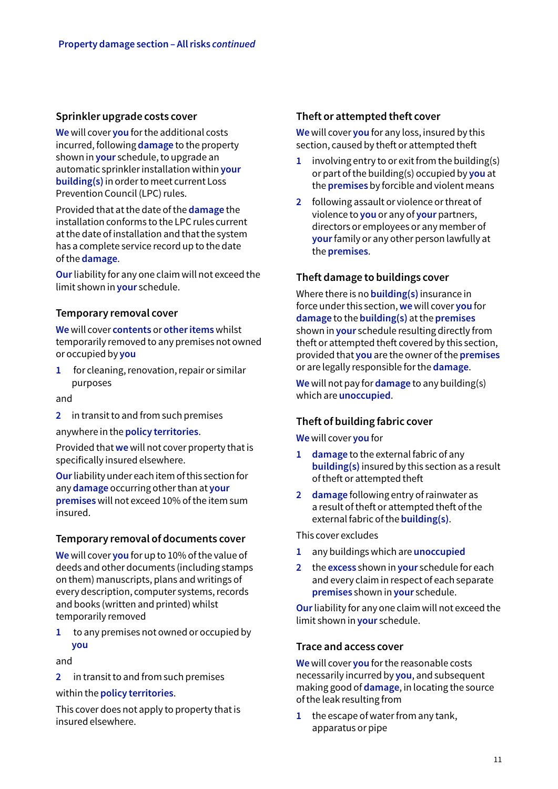## **Sprinkler upgrade costs cover**

**We** will cover **you** for the additional costs incurred, following **damage** to the property shown in **your** schedule, to upgrade an automatic sprinkler installation within **your building(s)** in order to meet current Loss Prevention Council (LPC) rules.

Provided that at the date of the **damage** the installation conforms to the LPC rules current at the date of installation and that the system has a complete service record up to the date of the **damage**.

**Our** liability for any one claim will not exceed the limit shown in **your** schedule.

## **Temporary removal cover**

**We** will cover **contents** or **other items** whilst temporarily removed to any premises not owned or occupied by **you**

**1** for cleaning, renovation, repair or similar purposes

and

**2** in transit to and from such premises

anywhere in the **policy territories**.

Provided that **we** will not cover property that is specifically insured elsewhere.

**Our** liability under each item of this section for any **damage** occurring other than at **your premises** will not exceed 10% of the item sum insured.

## **Temporary removal of documents cover**

**We** will cover **you** for up to 10% of the value of deeds and other documents (including stamps on them) manuscripts, plans and writings of every description, computer systems, records and books (written and printed) whilst temporarily removed

**1** to any premises not owned or occupied by **you**

and

**2** in transit to and from such premises

within the **policy territories**.

This cover does not apply to property that is insured elsewhere.

## **Theft or attempted theft cover**

**We** will cover **you** for any loss, insured by this section, caused by theft or attempted theft

- **1** involving entry to or exit from the building(s) or part of the building(s) occupied by **you** at the **premises** by forcible and violent means
- **2** following assault or violence or threat of violence to **you** or any of **your** partners, directors or employees or any member of **your** family or any other person lawfully at the **premises**.

## **Theft damage to buildings cover**

Where there is no **building(s)** insurance in force under this section, **we** will cover **you** for **damage** to the **building(s)** at the **premises**  shown in **your** schedule resulting directly from theft or attempted theft covered by this section, provided that **you** are the owner of the **premises** or are legally responsible for the **damage**.

**We** will not pay for **damage** to any building(s) which are **unoccupied**.

## **Theft of building fabric cover**

**We** will cover **you** for

- **1 damage** to the external fabric of any **building(s)** insured by this section as a result of theft or attempted theft
- **2 damage** following entry of rainwater as a result of theft or attempted theft of the external fabric of the **building(s)**.

This cover excludes

- **1** any buildings which are **unoccupied**
- **2** the **excess** shown in **your** schedule for each and every claim in respect of each separate **premises** shown in **your** schedule.

**Our** liability for any one claim will not exceed the limit shown in **your** schedule.

## **Trace and access cover**

**We** will cover **you** for the reasonable costs necessarily incurred by **you**, and subsequent making good of **damage**, in locating the source of the leak resulting from

**1** the escape of water from any tank, apparatus or pipe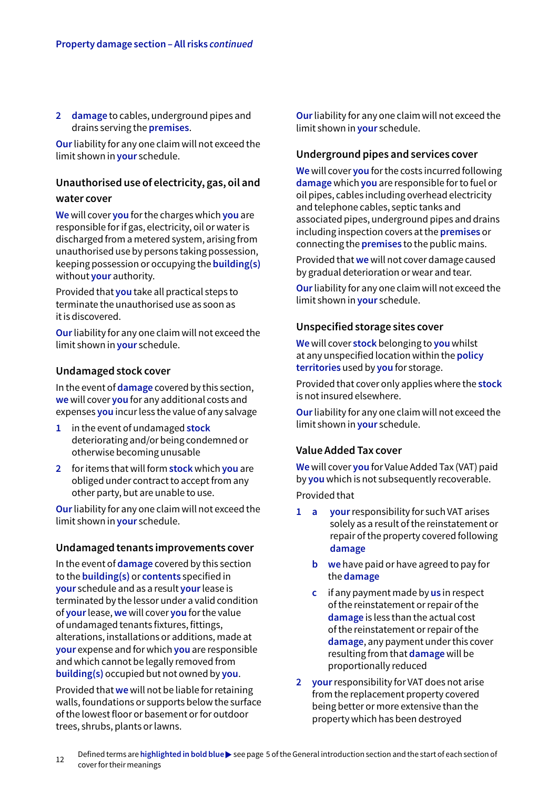**2 damage** to cables, underground pipes and drains serving the **premises**.

**Our** liability for any one claim will not exceed the limit shown in **your** schedule.

## **Unauthorised use of electricity, gas, oil and**

#### **water cover**

**We** will cover **you** for the charges which **you** are responsible for if gas, electricity, oil or water is discharged from a metered system, arising from unauthorised use by persons taking possession, keeping possession or occupying the **building(s)** without **your** authority.

Provided that **you** take all practical steps to terminate the unauthorised use as soon as it is discovered.

**Our** liability for any one claim will not exceed the limit shown in **your** schedule.

## **Undamaged stock cover**

In the event of **damage** covered by this section, **we** will cover **you** for any additional costs and expenses **you** incur less the value of any salvage

- **1** in the event of undamaged **stock** deteriorating and/or being condemned or otherwise becoming unusable
- **2** for items that will form **stock** which **you** are obliged under contract to accept from any other party, but are unable to use.

**Our** liability for any one claim will not exceed the limit shown in **your** schedule.

## **Undamaged tenants improvements cover**

In the event of **damage** covered by this section to the **building(s)** or **contents** specified in **your** schedule and as a result **your** lease is terminated by the lessor under a valid condition of **your** lease, **we** will cover **you** for the value of undamaged tenants fixtures, fittings, alterations, installations or additions, made at **your** expense and for which **you** are responsible and which cannot be legally removed from **building(s)** occupied but not owned by **you**.

Provided that **we** will not be liable for retaining walls, foundations or supports below the surface of the lowest floor or basement or for outdoor trees, shrubs, plants or lawns.

**Our** liability for any one claim will not exceed the limit shown in **your** schedule.

## **Underground pipes and services cover**

**We** will cover **you** for the costs incurred following **damage** which **you** are responsible for to fuel or oil pipes, cables including overhead electricity and telephone cables, septic tanks and associated pipes, underground pipes and drains including inspection covers at the **premises** or connecting the **premises** to the public mains.

Provided that **we** will not cover damage caused by gradual deterioration or wear and tear.

**Our** liability for any one claim will not exceed the limit shown in **your** schedule.

## **Unspecified storage sites cover**

**We** will cover **stock** belonging to **you** whilst at any unspecified location within the **policy territories** used by **you** for storage.

Provided that cover only applies where the **stock** is not insured elsewhere.

**Our** liability for any one claim will not exceed the limit shown in **your** schedule.

## **Value Added Tax cover**

**We** will cover **you** for Value Added Tax (VAT) paid by **you** which is not subsequently recoverable.

Provided that

- **1 a your** responsibility for such VAT arises solely as a result of the reinstatement or repair of the property covered following **damage**
	- **b we** have paid or have agreed to pay for the **damage**
	- **c** if any payment made by **us** in respect of the reinstatement or repair of the **damage** is less than the actual cost of the reinstatement or repair of the **damage**, any payment under this cover resulting from that **damage** will be proportionally reduced
- **2 your** responsibility for VAT does not arise from the replacement property covered being better or more extensive than the property which has been destroyed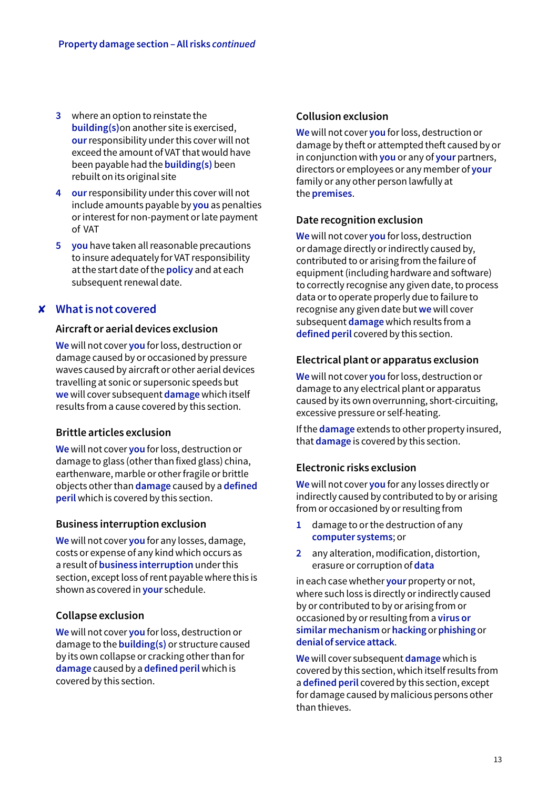- **3** where an option to reinstate the **building(s)**on another site is exercised, **our** responsibility under this cover will not exceed the amount of VAT that would have been payable had the **building(s)** been rebuilt on its original site
- **4 our** responsibility under this cover will not include amounts payable by **you** as penalties or interest for non-payment or late payment of VAT
- **5 you** have taken all reasonable precautions to insure adequately for VAT responsibility at the start date of the **policy** and at each subsequent renewal date.

## **What is not covered** 8

## **Aircraft or aerial devices exclusion**

**We** will not cover **you** for loss, destruction or damage caused by or occasioned by pressure waves caused by aircraft or other aerial devices travelling at sonic or supersonic speeds but **we** will cover subsequent **damage** which itself results from a cause covered by this section.

## **Brittle articles exclusion**

**We** will not cover **you** for loss, destruction or damage to glass (other than fixed glass) china, earthenware, marble or other fragile or brittle objects other than **damage** caused by a **defined peril** which is covered by this section.

## **Business interruption exclusion**

**We** will not cover **you** for any losses, damage, costs or expense of any kind which occurs as a result of **business interruption** under this section, except loss of rent payable where this is shown as covered in **your** schedule.

## **Collapse exclusion**

**We** will not cover **you** for loss, destruction or damage to the **building(s)** or structure caused by its own collapse or cracking other than for **damage** caused by a **defined peril** which is covered by this section.

## **Collusion exclusion**

**We** will not cover **you** for loss, destruction or damage by theft or attempted theft caused by or in conjunction with **you** or any of **your** partners, directors or employees or any member of **your** family or any other person lawfully at the **premises**.

## **Date recognition exclusion**

**We** will not cover **you** for loss, destruction or damage directly or indirectly caused by, contributed to or arising from the failure of equipment (including hardware and software) to correctly recognise any given date, to process data or to operate properly due to failure to recognise any given date but **we** will cover subsequent **damage** which results from a **defined peril** covered by this section.

## **Electrical plant or apparatus exclusion**

**We** will not cover **you** for loss, destruction or damage to any electrical plant or apparatus caused by its own overrunning, short-circuiting, excessive pressure or self-heating.

If the **damage** extends to other property insured, that **damage** is covered by this section.

## **Electronic risks exclusion**

**We** will not cover **you** for any losses directly or indirectly caused by contributed to by or arising from or occasioned by or resulting from

- **1** damage to or the destruction of any **computer systems**; or
- **2** any alteration, modification, distortion, erasure or corruption of **data**

in each case whether **your** property or not, where such loss is directly or indirectly caused by or contributed to by or arising from or occasioned by or resulting from a **virus or similar mechanism** or **hacking** or **phishing** or **denial of service attack**.

**We** will cover subsequent **damage** which is covered by this section, which itself results from a **defined peril** covered by this section, except for damage caused by malicious persons other than thieves.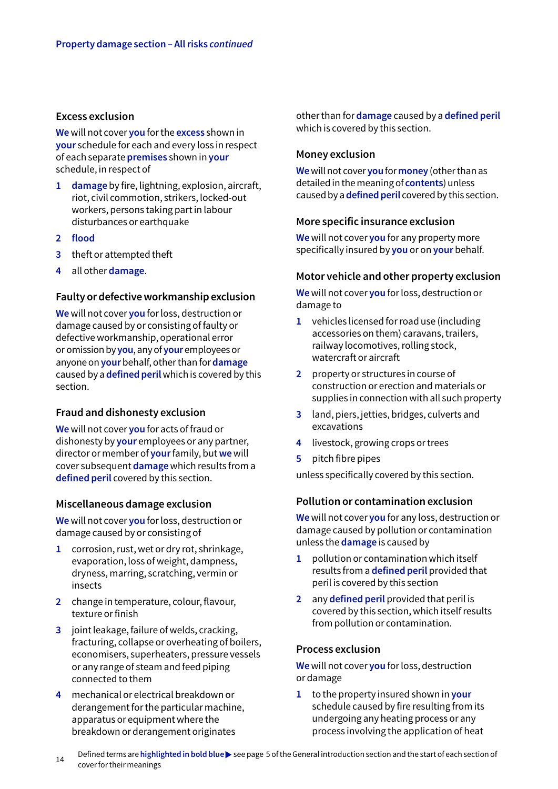#### **Excess exclusion**

**We** will not cover **you** for the **excess** shown in **your** schedule for each and every loss in respect of each separate **premises** shown in **your** schedule, in respect of

- **1 damage** by fire, lightning, explosion, aircraft, riot, civil commotion, strikers, locked-out workers, persons taking part in labour disturbances or earthquake
- **2 flood**
- **3** theft or attempted theft
- **4** all other **damage**.

#### **Faulty or defective workmanship exclusion**

**We** will not cover **you** for loss, destruction or damage caused by or consisting of faulty or defective workmanship, operational error or omission by **you**, any of **your** employees or anyone on **your** behalf, other than for **damage** caused by a **defined peril** which is covered by this section.

## **Fraud and dishonesty exclusion**

**We** will not cover **you** for acts of fraud or dishonesty by **your** employees or any partner, director or member of **your** family, but **we** will cover subsequent **damage** which results from a **defined peril** covered by this section.

#### **Miscellaneous damage exclusion**

**We** will not cover **you** for loss, destruction or damage caused by or consisting of

- **1** corrosion, rust, wet or dry rot, shrinkage, evaporation, loss of weight, dampness, dryness, marring, scratching, vermin or insects
- **2** change in temperature, colour, flavour, texture or finish
- **3** joint leakage, failure of welds, cracking, fracturing, collapse or overheating of boilers, economisers, superheaters, pressure vessels or any range of steam and feed piping connected to them
- **4** mechanical or electrical breakdown or derangement for the particular machine, apparatus or equipment where the breakdown or derangement originates

other than for **damage** caused by a **defined peril**  which is covered by this section.

## **Money exclusion**

**We** will not cover **you** for **money** (other than as detailed in the meaning of **contents**) unless caused by a **defined peril** covered by this section.

## **More specific insurance exclusion**

**We** will not cover **you** for any property more specifically insured by **you** or on **your** behalf.

## **Motor vehicle and other property exclusion**

**We** will not cover **you** for loss, destruction or damage to

- **1** vehicles licensed for road use (including accessories on them) caravans, trailers, railway locomotives, rolling stock, watercraft or aircraft
- **2** property or structures in course of construction or erection and materials or supplies in connection with all such property
- **3** land, piers, jetties, bridges, culverts and excavations
- **4** livestock, growing crops or trees
- **5** pitch fibre pipes

unless specifically covered by this section.

## **Pollution or contamination exclusion**

**We** will not cover **you** for any loss, destruction or damage caused by pollution or contamination unless the **damage** is caused by

- **1** pollution or contamination which itself results from a **defined peril** provided that peril is covered by this section
- **2** any **defined peril** provided that peril is covered by this section, which itself results from pollution or contamination.

#### **Process exclusion**

**We** will not cover **you** for loss, destruction or damage

**1** to the property insured shown in **your** schedule caused by fire resulting from its undergoing any heating process or any process involving the application of heat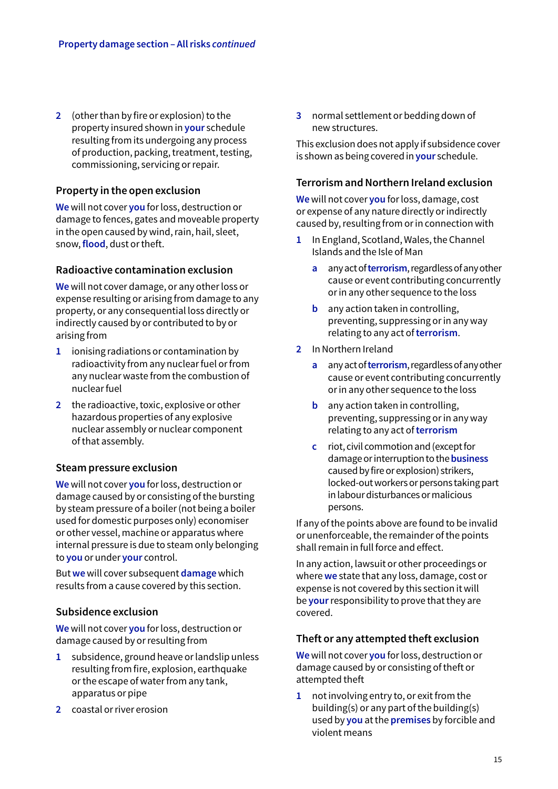**2** (other than by fire or explosion) to the property insured shown in **your** schedule resulting from its undergoing any process of production, packing, treatment, testing, commissioning, servicing or repair.

## **Property in the open exclusion**

**We** will not cover **you** for loss, destruction or damage to fences, gates and moveable property in the open caused by wind, rain, hail, sleet, snow, **flood**, dust or theft.

## **Radioactive contamination exclusion**

**We** will not cover damage, or any other loss or expense resulting or arising from damage to any property, or any consequential loss directly or indirectly caused by or contributed to by or arising from

- **1** ionising radiations or contamination by radioactivity from any nuclear fuel or from any nuclear waste from the combustion of nuclear fuel
- **2** the radioactive, toxic, explosive or other hazardous properties of any explosive nuclear assembly or nuclear component of that assembly.

## **Steam pressure exclusion**

**We** will not cover **you** for loss, destruction or damage caused by or consisting of the bursting by steam pressure of a boiler (not being a boiler used for domestic purposes only) economiser or other vessel, machine or apparatus where internal pressure is due to steam only belonging to **you** or under **your** control.

But **we** will cover subsequent **damage** which results from a cause covered by this section.

## **Subsidence exclusion**

**We** will not cover **you** for loss, destruction or damage caused by or resulting from

- **1** subsidence, ground heave or landslip unless resulting from fire, explosion, earthquake or the escape of water from any tank, apparatus or pipe
- **2** coastal or river erosion

**3** normal settlement or bedding down of new structures.

This exclusion does not apply if subsidence cover is shown as being covered in **your** schedule.

#### **Terrorism and Northern Ireland exclusion**

**We** will not cover **you** for loss, damage, cost or expense of any nature directly or indirectly caused by, resulting from or in connection with

- **1** In England, Scotland, Wales, the Channel Islands and the Isle of Man
	- **a** any act of **terrorism**, regardless of any other cause or event contributing concurrently or in any other sequence to the loss
	- **b** any action taken in controlling, preventing, suppressing or in any way relating to any act of **terrorism**.
- **2** In Northern Ireland
	- **a** any act of **terrorism**, regardless of any other cause or event contributing concurrently or in any other sequence to the loss
	- **b** any action taken in controlling. preventing, suppressing or in any way relating to any act of **terrorism**
	- **c** riot, civil commotion and (except for damageor interruption to the **business** caused by fire or explosion) strikers, locked-out workers or persons taking part in labour disturbances or malicious persons.

If any of the points above are found to be invalid or unenforceable, the remainder of the points shall remain in full force and effect.

In any action, lawsuit or other proceedings or where **we** state that any loss, damage, cost or expense is not covered by this section it will be **your** responsibility to prove that they are covered.

## **Theft or any attempted theft exclusion**

**We** will not cover **you** for loss, destruction or damage caused by or consisting of theft or attempted theft

**1** not involving entry to, or exit from the building(s) or any part of the building(s) used by **you** at the **premises** by forcible and violent means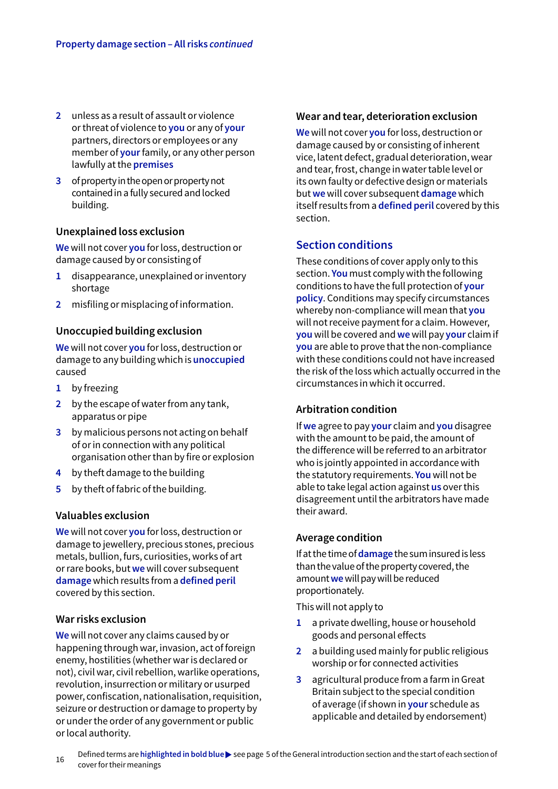- **2** unless as a result of assault or violence or threat of violence to **you** or any of **your** partners, directors or employees or any member of **your** family, or any other person lawfully at the **premises**
- **3** of property in the open or property not contained in a fully secured and locked building.

#### **Unexplained loss exclusion**

**We** will not cover **you** for loss, destruction or damage caused by or consisting of

- **1** disappearance, unexplained or inventory shortage
- **2** misfiling or misplacing of information.

## **Unoccupied building exclusion**

**We** will not cover **you** for loss, destruction or damage to any building which is **unoccupied** caused

- **1** by freezing
- **2** by the escape of water from any tank, apparatus or pipe
- **3** by malicious persons not acting on behalf of or in connection with any political organisation other than by fire or explosion
- **4** by theft damage to the building
- **5** by theft of fabric of the building.

## **Valuables exclusion**

**We** will not cover **you** for loss, destruction or damage to jewellery, precious stones, precious metals, bullion, furs, curiosities, works of art or rare books, but **we** will cover subsequent **damage** which results from a **defined peril**  covered by this section.

## **War risks exclusion**

**We** will not cover any claims caused by or happening through war, invasion, act of foreign enemy, hostilities (whether war is declared or not), civil war, civil rebellion, warlike operations, revolution, insurrection or military or usurped power, confiscation, nationalisation, requisition, seizure or destruction or damage to property by or under the order of any government or public or local authority.

#### **Wear and tear, deterioration exclusion**

**We** will not cover **you** for loss, destruction or damage caused by or consisting of inherent vice, latent defect, gradual deterioration, wear and tear, frost, change in water table level or its own faulty or defective design or materials but **we** will cover subsequent **damage** which itself results from a **defined peril** covered by this section.

## **Section conditions**

These conditions of cover apply only to this section. **You** must comply with the following conditions to have the full protection of **your policy**. Conditions may specify circumstances whereby non-compliance will mean that **you** will not receive payment for a claim. However, **you** will be covered and **we** will pay **your** claim if **you** are able to prove that the non-compliance with these conditions could not have increased the risk of the loss which actually occurred in the circumstances in which it occurred.

## **Arbitration condition**

If **we** agree to pay **your** claim and **you** disagree with the amount to be paid, the amount of the difference will be referred to an arbitrator who is jointly appointed in accordance with the statutory requirements. **You** will not be able to take legal action against **us** over this disagreement until the arbitrators have made their award.

#### **Average condition**

If at the time of **damage** the sum insured is less than the value of the property covered, the amount **we** will pay will be reduced proportionately.

This will not apply to

- **1** a private dwelling, house or household goods and personal effects
- **2** a building used mainly for public religious worship or for connected activities
- **3** agricultural produce from a farm in Great Britain subject to the special condition of average (if shown in **your** schedule as applicable and detailed by endorsement)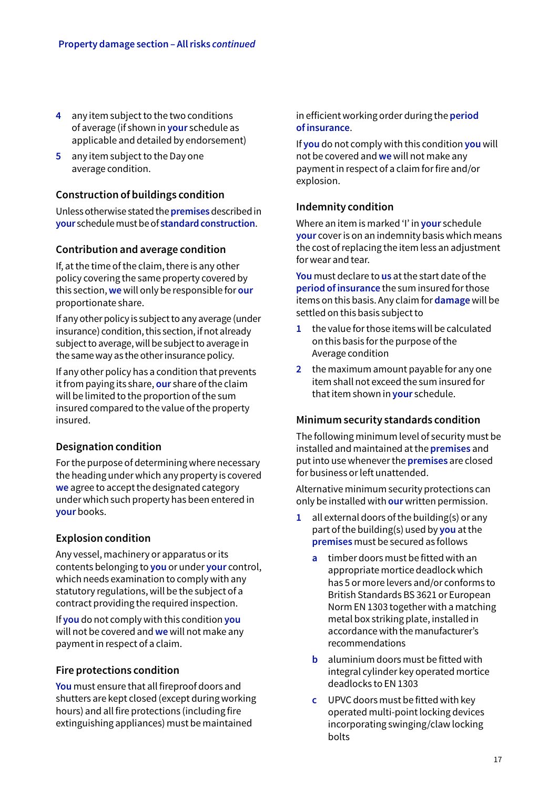- **4** any item subject to the two conditions of average (if shown in **your** schedule as applicable and detailed by endorsement)
- **5** any item subject to the Day one average condition.

## **Construction of buildings condition**

Unless otherwise stated the **premises** described in **your** schedule must be of **standard construction**.

## **Contribution and average condition**

If, at the time of the claim, there is any other policy covering the same property covered by this section, **we** will only be responsible for **our**  proportionate share.

If any other policy is subject to any average (under insurance) condition, this section, if not already subject to average, will be subject to average in the same way as the other insurance policy.

If any other policy has a condition that prevents it from paying its share, **our** share of the claim will be limited to the proportion of the sum insured compared to the value of the property insured.

## **Designation condition**

For the purpose of determining where necessary the heading under which any property is covered **we** agree to accept the designated category under which such property has been entered in **your** books.

## **Explosion condition**

Any vessel, machinery or apparatus or its contents belonging to **you** or under **your** control, which needs examination to comply with any statutory regulations, will be the subject of a contract providing the required inspection.

If **you** do not comply with this condition **you** will not be covered and **we** will not make any payment in respect of a claim.

## **Fire protections condition**

**You** must ensure that all fireproof doors and shutters are kept closed (except during working hours) and all fire protections (including fire extinguishing appliances) must be maintained

in efficient working order during the **period of insurance**.

If **you** do not comply with this condition **you** will not be covered and **we** will not make any payment in respect of a claim for fire and/or explosion.

## **Indemnity condition**

Where an item is marked 'I' in **your** schedule **your** cover is on an indemnity basis which means the cost of replacing the item less an adjustment for wear and tear.

**You** must declare to **us** at the start date of the **period of insurance** the sum insured for those items on this basis. Any claim for **damage** will be settled on this basis subject to

- **1** the value for those items will be calculated on this basis for the purpose of the Average condition
- **2** the maximum amount payable for any one item shall not exceed the sum insured for that item shown in **your** schedule.

## **Minimum security standards condition**

The following minimum level of security must be installed and maintained at the **premises** and put into use whenever the **premises** are closed for business or left unattended.

Alternative minimum security protections can only be installed with **our** written permission.

- **1** all external doors of the building(s) or any part of the building(s) used by **you** at the **premises** must be secured as follows
	- **a** timber doors must be fitted with an appropriate mortice deadlock which has 5 or more levers and/or conforms to British Standards BS 3621 or European Norm EN 1303 together with a matching metal box striking plate, installed in accordance with the manufacturer's recommendations
	- **b** aluminium doors must be fitted with integral cylinder key operated mortice deadlocks to EN 1303
	- **c** UPVC doors must be fitted with key operated multi-point locking devices incorporating swinging/claw locking bolts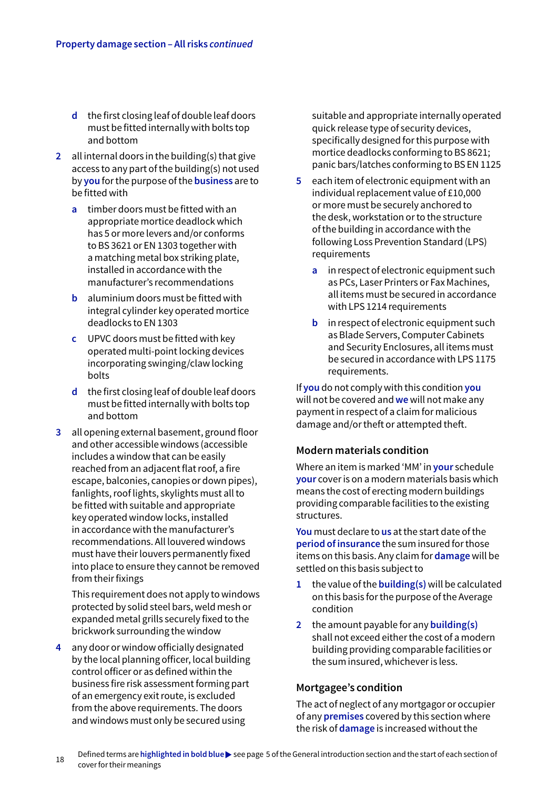- **d** the first closing leaf of double leaf doors must be fitted internally with bolts top and bottom
- **2** all internal doors in the building(s) that give access to any part of the building(s) not used by **you** for the purpose of the **business** are to be fitted with
	- **a** timber doors must be fitted with an appropriate mortice deadlock which has 5 or more levers and/or conforms to BS 3621 or EN 1303 together with a matching metal box striking plate, installed in accordance with the manufacturer's recommendations
	- **b** aluminium doors must be fitted with integral cylinder key operated mortice deadlocks to EN 1303
	- **c** UPVC doors must be fitted with key operated multi-point locking devices incorporating swinging/claw locking bolts
	- **d** the first closing leaf of double leaf doors must be fitted internally with bolts top and bottom
- **3** all opening external basement, ground floor and other accessible windows (accessible includes a window that can be easily reached from an adjacent flat roof, a fire escape, balconies, canopies or down pipes), fanlights, roof lights, skylights must all to be fitted with suitable and appropriate key operated window locks, installed in accordance with the manufacturer's recommendations. All louvered windows must have their louvers permanently fixed into place to ensure they cannot be removed from their fixings

 This requirement does not apply to windows protected by solid steel bars, weld mesh or expanded metal grills securely fixed to the brickwork surrounding the window

**4** any door or window officially designated by the local planning officer, local building control officer or as defined within the business fire risk assessment forming part of an emergency exit route, is excluded from the above requirements. The doors and windows must only be secured using

suitable and appropriate internally operated quick release type of security devices, specifically designed for this purpose with mortice deadlocks conforming to BS 8621; panic bars/latches conforming to BS EN 1125

- **5** each item of electronic equipment with an individual replacement value of £10,000 or more must be securely anchored to the desk, workstation or to the structure of the building in accordance with the following Loss Prevention Standard (LPS) requirements
	- **a** in respect of electronic equipment such as PCs, Laser Printers or Fax Machines, all items must be secured in accordance with LPS 1214 requirements
	- **b** in respect of electronic equipment such as Blade Servers, Computer Cabinets and Security Enclosures, all items must be secured in accordance with LPS 1175 requirements.

If **you** do not comply with this condition **you** will not be covered and **we** will not make any payment in respect of a claim for malicious damage and/or theft or attempted theft.

## **Modern materials condition**

Where an item is marked 'MM' in **your** schedule **your** cover is on a modern materials basis which means the cost of erecting modern buildings providing comparable facilities to the existing structures.

**You** must declare to **us** at the start date of the **period of insurance** the sum insured for those items on this basis. Any claim for **damage** will be settled on this basis subject to

- **1** the value of the **building(s)** will be calculated on this basis for the purpose of the Average condition
- **2** the amount payable for any **building(s)** shall not exceed either the cost of a modern building providing comparable facilities or the sum insured, whichever is less.

## **Mortgagee's condition**

The act of neglect of any mortgagor or occupier of any **premises** covered by this section where the risk of **damage** is increased without the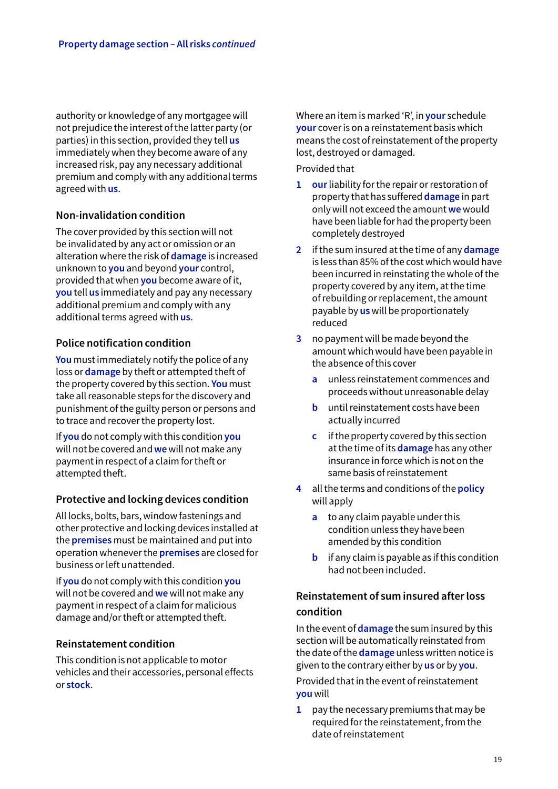authority or knowledge of any mortgagee will not prejudice the interest of the latter party (or parties) in this section, provided they tell **us** immediately when they become aware of any increased risk, pay any necessary additional premium and comply with any additional terms agreed with **us**.

## **Non-invalidation condition**

The cover provided by this section will not be invalidated by any act or omission or an alteration where the risk of **damage** is increased unknown to **you** and beyond **your** control, provided that when **you** become aware of it, **you** tell **us** immediately and pay any necessary additional premium and comply with any additional terms agreed with **us**.

## **Police notification condition**

**You** must immediately notify the police of any loss or **damage** by theft or attempted theft of the property covered by this section. **You** must take all reasonable steps for the discovery and punishment of the guilty person or persons and to trace and recover the property lost.

If **you** do not comply with this condition **you** will not be covered and **we** will not make any payment in respect of a claim for theft or attempted theft.

## **Protective and locking devices condition**

All locks, bolts, bars, window fastenings and other protective and locking devices installed at the **premises** must be maintained and put into operation whenever the **premises** are closed for business or left unattended.

If **you** do not comply with this condition **you** will not be covered and **we** will not make any payment in respect of a claim for malicious damage and/or theft or attempted theft.

## **Reinstatement condition**

This condition is not applicable to motor vehicles and their accessories, personal effects or **stock**.

Where an item is marked 'R', in **your** schedule **your** cover is on a reinstatement basis which means the cost of reinstatement of the property lost, destroyed or damaged.

#### Provided that

- **1 our** liability for the repair or restoration of property that has suffered **damage** in part only will not exceed the amount **we** would have been liable for had the property been completely destroyed
- **2** if the sum insured at the time of any **damage** is less than 85% of the cost which would have been incurred in reinstating the whole of the property covered by any item, at the time of rebuilding or replacement, the amount payable by **us** will be proportionately reduced
- **3** no payment will be made beyond the amount which would have been payable in the absence of this cover
	- **a** unless reinstatement commences and proceeds without unreasonable delay
	- **b** until reinstatement costs have been actually incurred
	- **c** if the property covered by this section at the time of its **damage** has any other insurance in force which is not on the same basis of reinstatement
- **4** all the terms and conditions of the **policy**  will apply
	- **a** to any claim payable under this condition unless they have been amended by this condition
	- **b** if any claim is payable as if this condition had not been included.

## **Reinstatement of sum insured after loss condition**

In the event of **damage** the sum insured by this section will be automatically reinstated from the date of the **damage** unless written notice is given to the contrary either by **us** or by **you**.

Provided that in the event of reinstatement **you** will

**1** pay the necessary premiums that may be required for the reinstatement, from the date of reinstatement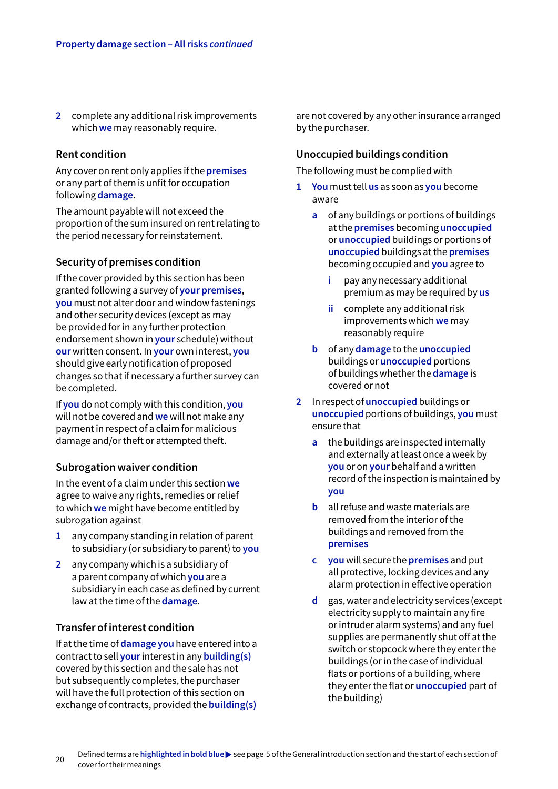**2** complete any additional risk improvements which **we** may reasonably require.

## **Rent condition**

Any cover on rent only applies if the **premises** or any part of them is unfit for occupation following **damage**.

The amount payable will not exceed the proportion of the sum insured on rent relating to the period necessary for reinstatement.

## **Security of premises condition**

If the cover provided by this section has been granted following a survey of **your premises**, **you** must not alter door and window fastenings and other security devices (except as may be provided for in any further protection endorsement shown in **your** schedule) without **our** written consent. In **your** own interest, **you** should give early notification of proposed changes so that if necessary a further survey can be completed.

If **you** do not comply with this condition, **you** will not be covered and **we** will not make any payment in respect of a claim for malicious damage and/or theft or attempted theft.

#### **Subrogation waiver condition**

In the event of a claim under this section **we** agree to waive any rights, remedies or relief to which **we** might have become entitled by subrogation against

- **1** any company standing in relation of parent to subsidiary (or subsidiary to parent) to **you**
- **2** any company which is a subsidiary of a parent company of which **you** are a subsidiary in each case as defined by current law at the time of the **damage**.

## **Transfer of interest condition**

If at the time of **damage you** have entered into a contract to sell **your** interest in any **building(s)** covered by this section and the sale has not but subsequently completes, the purchaser will have the full protection of this section on exchange of contracts, provided the **building(s)** 

are not covered by any other insurance arranged by the purchaser.

#### **Unoccupied buildings condition**

The following must be complied with

- **1 You** must tell **us** as soon as **you** become aware
	- **a** of any buildings or portions of buildings at the **premises** becoming **unoccupied**  or **unoccupied** buildings or portions of **unoccupied** buildings at the **premises**  becoming occupied and **you** agree to
		- **i** pay any necessary additional premium as may be required by **us**
		- **ii** complete any additional risk improvements which **we** may reasonably require
	- **b** of any **damage** to the **unoccupied**  buildings or **unoccupied** portions of buildings whether the **damage** is covered or not
- **2** In respect of **unoccupied** buildings or **unoccupied** portions of buildings, **you** must ensure that
	- **a** the buildings are inspected internally and externally at least once a week by **you** or on **your** behalf and a written record of the inspection is maintained by **you**
	- **b** all refuse and waste materials are removed from the interior of the buildings and removed from the **premises**
	- **c you** will secure the **premises** and put all protective, locking devices and any alarm protection in effective operation
	- **d** gas, water and electricity services (except electricity supply to maintain any fire or intruder alarm systems) and any fuel supplies are permanently shut off at the switch or stopcock where they enter the buildings (or in the case of individual flats or portions of a building, where they enter the flat or **unoccupied** part of the building)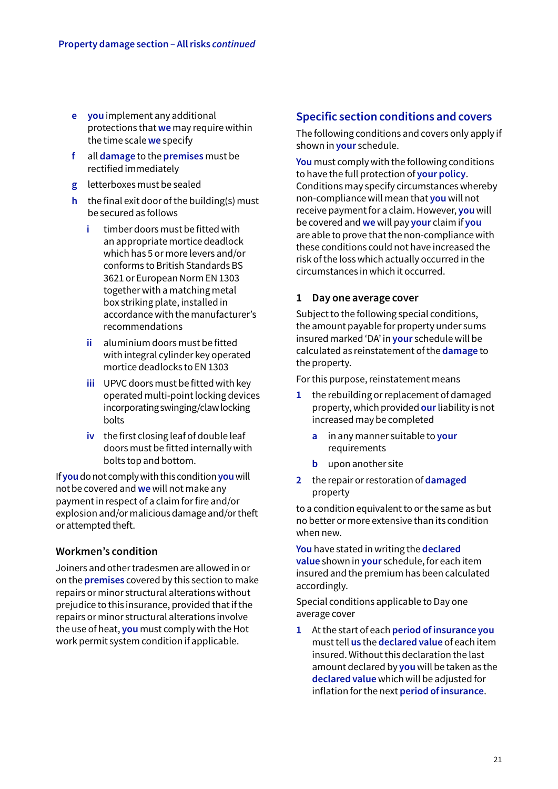- **e you** implement any additional protections that **we** may require within the time scale **we** specify
- **f** all **damage** to the **premises** must be rectified immediately
- **g** letterboxes must be sealed
- **h** the final exit door of the building(s) must be secured as follows
	- **i** timber doors must be fitted with an appropriate mortice deadlock which has 5 or more levers and/or conforms to British Standards BS 3621 or European Norm EN 1303 together with a matching metal box striking plate, installed in accordance with the manufacturer's recommendations
	- **ii** aluminium doors must be fitted with integral cylinder key operated mortice deadlocks to EN 1303
	- **iii** UPVC doors must be fitted with key operated multi-point locking devices incorporating swinging/claw locking bolts
	- **iv** the first closing leaf of double leaf doors must be fitted internally with bolts top and bottom.

If **you** do not comply with this condition **you** will not be covered and **we** will not make any payment in respect of a claim for fire and/or explosion and/or malicious damage and/or theft or attempted theft.

## **Workmen's condition**

Joiners and other tradesmen are allowed in or on the **premises** covered by this section to make repairs or minor structural alterations without prejudice to this insurance, provided that if the repairs or minor structural alterations involve the use of heat, **you** must comply with the Hot work permit system condition if applicable.

## **Specific section conditions and covers**

The following conditions and covers only apply if shown in **your** schedule.

**You** must comply with the following conditions to have the full protection of **your policy**. Conditions may specify circumstances whereby non-compliance will mean that **you** will not receive payment for a claim. However, **you** will be covered and **we** will pay **your** claim if **you** are able to prove that the non-compliance with these conditions could not have increased the risk of the loss which actually occurred in the circumstances in which it occurred.

## **1 Day one average cover**

Subject to the following special conditions, the amount payable for property under sums insured marked 'DA' in **your** schedule will be calculated as reinstatement of the **damage** to the property.

For this purpose, reinstatement means

- **1** the rebuilding or replacement of damaged property, which provided **our** liability is not increased may be completed
	- **a** in any manner suitable to **your** requirements
	- **b** upon another site
- **2** the repair or restoration of **damaged**  property

to a condition equivalent to or the same as but no better or more extensive than its condition when new.

**You** have stated in writing the **declared value** shown in **your** schedule, for each item insured and the premium has been calculated accordingly.

Special conditions applicable to Day one average cover

**1** At the start of each **period of insurance you** must tell **us** the **declared value** of each item insured. Without this declaration the last amount declared by **you** will be taken as the **declared value** which will be adjusted for inflation for the next **period of insurance**.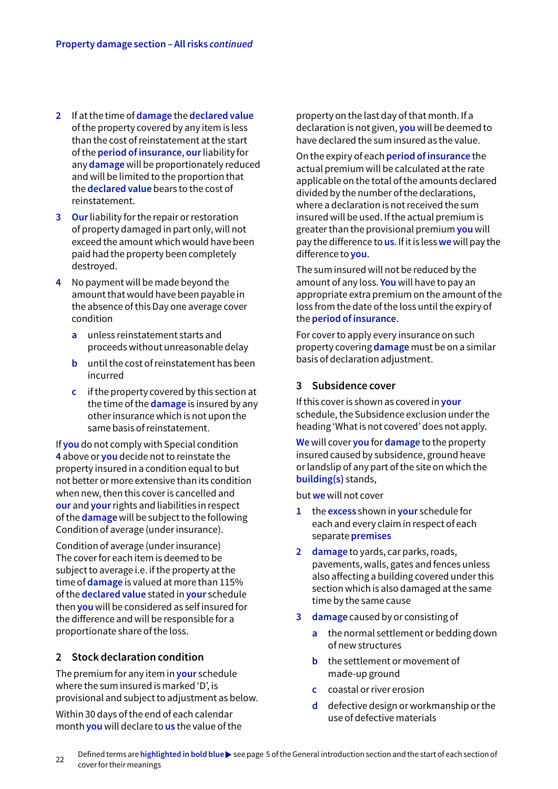- **2** If at the time of **damage** the **declared value** of the property covered by any item is less than the cost of reinstatement at the start of the **period of insurance**, **our** liability for any **damage** will be proportionately reduced and will be limited to the proportion that the **declared value** bears to the cost of reinstatement.
- **3 Our** liability for the repair or restoration of property damaged in part only, will not exceed the amount which would have been paid had the property been completely destroyed.
- **4** No payment will be made beyond the amount that would have been payable in the absence of this Day one average cover condition
	- **a** unless reinstatement starts and proceeds without unreasonable delay
	- **b** until the cost of reinstatement has been incurred
	- **c** if the property covered by this section at the time of the **damage** is insured by any other insurance which is not upon the same basis of reinstatement.

If **you** do not comply with Special condition **4** above or **you** decide not to reinstate the property insured in a condition equal to but not better or more extensive than its condition when new, then this cover is cancelled and **our** and **your** rights and liabilities in respect of the **damage** will be subject to the following Condition of average (under insurance).

Condition of average (under insurance) The cover for each item is deemed to be subject to average i.e. if the property at the time of **damage** is valued at more than 115% of the **declared value** stated in **your** schedule then **you** will be considered as self insured for the difference and will be responsible for a proportionate share of the loss.

## **2 Stock declaration condition**

The premium for any item in **your** schedule where the sum insured is marked 'D', is provisional and subject to adjustment as below.

Within 30 days of the end of each calendar month **you** will declare to **us** the value of the property on the last day of that month. If a declaration is not given, **you** will be deemed to have declared the sum insured as the value.

On the expiry of each **period of insurance** the actual premium will be calculated at the rate applicable on the total of the amounts declared divided by the number of the declarations, where a declaration is not received the sum insured will be used. If the actual premium is greater than the provisional premium **you** will pay the difference to **us**. If it is less **we** will pay the difference to **you**.

The sum insured will not be reduced by the amount of any loss. **You** will have to pay an appropriate extra premium on the amount of the loss from the date of the loss until the expiry of the **period of insurance**.

For cover to apply every insurance on such property covering **damage** must be on a similar basis of declaration adjustment.

## **3 Subsidence cover**

If this cover is shown as covered in **your** schedule, the Subsidence exclusion under the heading 'What is not covered' does not apply.

**We** will cover **you** for **damage** to the property insured caused by subsidence, ground heave or landslip of any part of the site on which the **building(s)** stands,

but **we** will not cover

- **1** the **excess** shown in **your** schedule for each and every claim in respect of each separate **premises**
- **2 damage** to yards, car parks, roads, pavements, walls, gates and fences unless also affecting a building covered under this section which is also damaged at the same time by the same cause
- **3 damage** caused by or consisting of
	- **a** the normal settlement or bedding down of new structures
	- **b** the settlement or movement of made-up ground
	- **c** coastal or river erosion
	- **d** defective design or workmanship or the use of defective materials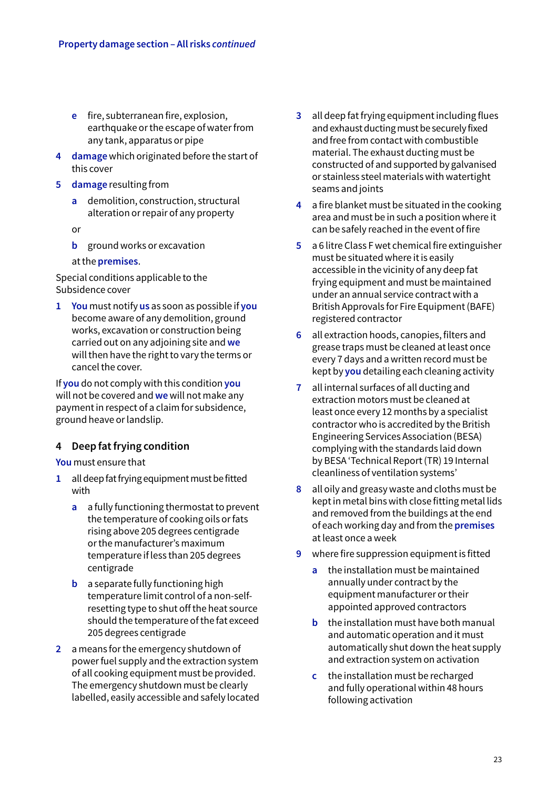- **e** fire, subterranean fire, explosion, earthquake or the escape of water from any tank, apparatus or pipe
- **4 damage** which originated before the start of this cover
- **5 damage** resulting from
	- **a** demolition, construction, structural alteration or repair of any property
	- or
	- **b** ground works or excavation
	- at the **premises**.

Special conditions applicable to the Subsidence cover

**1 You** must notify **us** as soon as possible if **you** become aware of any demolition, ground works, excavation or construction being carried out on any adjoining site and **we** will then have the right to vary the terms or cancel the cover.

If **you** do not comply with this condition **you** will not be covered and **we** will not make any payment in respect of a claim for subsidence, ground heave or landslip.

## **4 Deep fat frying condition**

**You** must ensure that

- **1** all deep fat frying equipment must be fitted with
	- **a** a fully functioning thermostat to prevent the temperature of cooking oils or fats rising above 205 degrees centigrade or the manufacturer's maximum temperature if less than 205 degrees centigrade
	- **b** a separate fully functioning high temperature limit control of a non-selfresetting type to shut off the heat source should the temperature of the fat exceed 205 degrees centigrade
- **2** a means for the emergency shutdown of power fuel supply and the extraction system of all cooking equipment must be provided. The emergency shutdown must be clearly labelled, easily accessible and safely located
- **3** all deep fat frying equipment including flues and exhaust ducting must be securely fixed and free from contact with combustible material. The exhaust ducting must be constructed of and supported by galvanised or stainless steel materials with watertight seams and joints
- **4** a fire blanket must be situated in the cooking area and must be in such a position where it can be safely reached in the event of fire
- **5** a 6 litre Class F wet chemical fire extinguisher must be situated where it is easily accessible in the vicinity of any deep fat frying equipment and must be maintained under an annual service contract with a British Approvals for Fire Equipment (BAFE) registered contractor
- **6** all extraction hoods, canopies, filters and grease traps must be cleaned at least once every 7 days and a written record must be kept by **you** detailing each cleaning activity
- **7** all internal surfaces of all ducting and extraction motors must be cleaned at least once every 12 months by a specialist contractor who is accredited by the British Engineering Services Association (BESA) complying with the standards laid down by BESA 'Technical Report (TR) 19 Internal cleanliness of ventilation systems'
- **8** all oily and greasy waste and cloths must be kept in metal bins with close fitting metal lids and removed from the buildings at the end of each working day and from the **premises** at least once a week
- **9** where fire suppression equipment is fitted
	- **a** the installation must be maintained annually under contract by the equipment manufacturer or their appointed approved contractors
	- **b** the installation must have both manual and automatic operation and it must automatically shut down the heat supply and extraction system on activation
	- **c** the installation must be recharged and fully operational within 48 hours following activation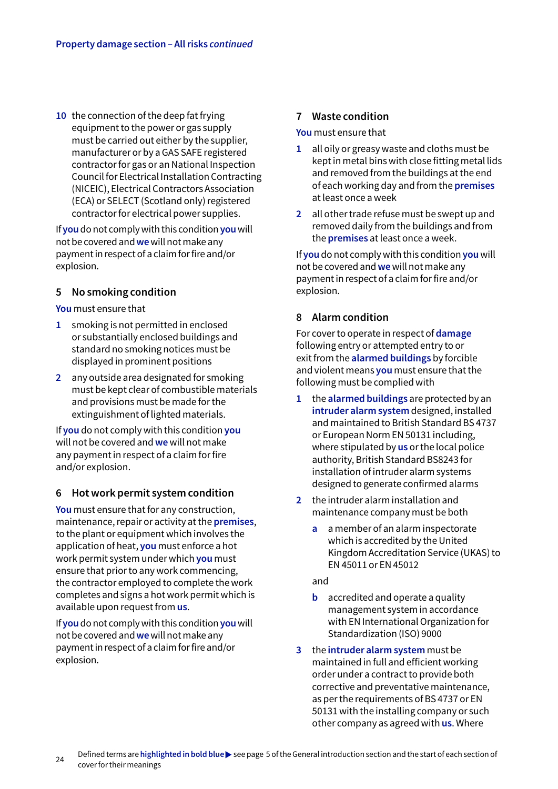**10** the connection of the deep fat frying equipment to the power or gas supply must be carried out either by the supplier, manufacturer or by a GAS SAFE registered contractor for gas or an National Inspection Council for Electrical Installation Contracting (NICEIC), Electrical Contractors Association (ECA) or SELECT (Scotland only) registered contractor for electrical power supplies.

If **you** do not comply with this condition **you** will not be covered and **we** will not make any payment in respect of a claim for fire and/or explosion.

## **5 No smoking condition**

**You** must ensure that

- **1** smoking is not permitted in enclosed or substantially enclosed buildings and standard no smoking notices must be displayed in prominent positions
- **2** any outside area designated for smoking must be kept clear of combustible materials and provisions must be made for the extinguishment of lighted materials.

If **you** do not comply with this condition **you** will not be covered and **we** will not make any payment in respect of a claim for fire and/or explosion.

## **6 Hot work permit system condition**

**You** must ensure that for any construction, maintenance, repair or activity at the **premises**, to the plant or equipment which involves the application of heat, **you** must enforce a hot work permit system under which **you** must ensure that prior to any work commencing, the contractor employed to complete the work completes and signs a hot work permit which is available upon request from **us**.

If **you** do not comply with this condition **you** will not be covered and **we** will not make any payment in respect of a claim for fire and/or explosion.

## **7 Waste condition**

**You** must ensure that

- **1** all oily or greasy waste and cloths must be kept in metal bins with close fitting metal lids and removed from the buildings at the end of each working day and from the **premises** at least once a week
- **2** all other trade refuse must be swept up and removed daily from the buildings and from the **premises** at least once a week.

If **you** do not comply with this condition **you** will not be covered and **we** will not make any payment in respect of a claim for fire and/or explosion.

## **8 Alarm condition**

For cover to operate in respect of **damage** following entry or attempted entry to or exit from the **alarmed buildings** by forcible and violent means **you** must ensure that the following must be complied with

- **1** the **alarmed buildings** are protected by an **intruder alarm system** designed, installed and maintained to British Standard BS 4737 or European Norm EN 50131 including, where stipulated by **us** or the local police authority, British Standard BS8243 for installation of intruder alarm systems designed to generate confirmed alarms
- **2** the intruder alarm installation and maintenance company must be both
	- **a** a member of an alarm inspectorate which is accredited by the United Kingdom Accreditation Service (UKAS) to EN 45011 or EN 45012

and

- **b** accredited and operate a quality management system in accordance with EN International Organization for Standardization (ISO) 9000
- **3** the **intruder alarm system** must be maintained in full and efficient working order under a contract to provide both corrective and preventative maintenance, as per the requirements of BS 4737 or EN 50131 with the installing company or such other company as agreed with **us**. Where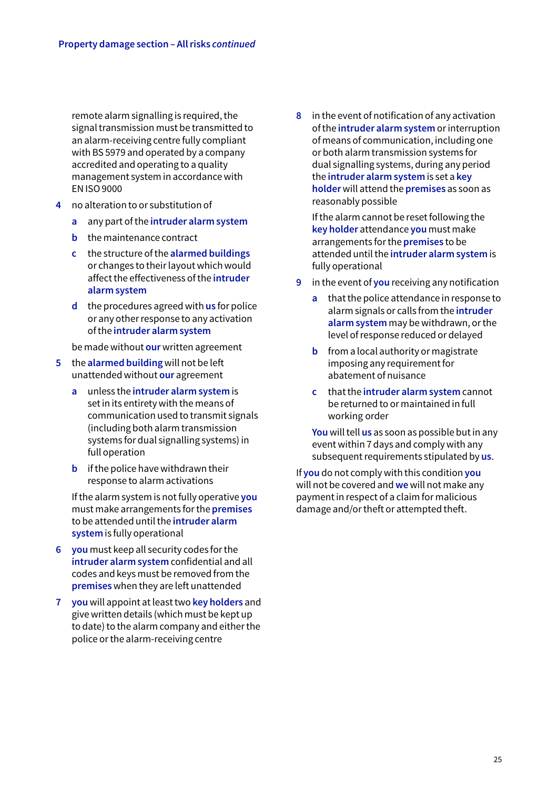remote alarm signalling is required, the signal transmission must be transmitted to an alarm-receiving centre fully compliant with BS 5979 and operated by a company accredited and operating to a quality management system in accordance with EN ISO 9000

- **4** no alteration to or substitution of
	- **a** any part of the **intruder alarm system**
	- **b** the maintenance contract
	- **c** the structure of the **alarmed buildings** or changes to their layout which would affect the effectiveness of the **intruder alarm system**
	- **d** the procedures agreed with **us** for police or any other response to any activation of the **intruder alarm system**

be made without **our** written agreement

- **5** the **alarmed building** will not be left unattended without **our** agreement
	- **a** unless the **intruder alarm system** is set in its entirety with the means of communication used to transmit signals (including both alarm transmission systems for dual signalling systems) in full operation
	- **b** if the police have withdrawn their response to alarm activations

If the alarm system is not fully operative **you** must make arrangements for the **premises** to be attended until the **intruder alarm system** is fully operational

- **6 you** must keep all security codes for the **intruder alarm system** confidential and all codes and keys must be removed from the **premises** when they are left unattended
- **7 you** will appoint at least two **key holders** and give written details (which must be kept up to date) to the alarm company and either the police or the alarm-receiving centre

**8** in the event of notification of any activation of the **intruder alarm system** or interruption of means of communication, including one or both alarm transmission systems for dual signalling systems, during any period the **intruder alarm system** is set a **key holder** will attend the **premises** as soon as reasonably possible

If the alarm cannot be reset following the **key holder** attendance **you** must make arrangements for the **premises** to be attended until the **intruder alarm system** is fully operational

- **9** in the event of **you** receiving any notification
	- **a** that the police attendance in response to alarm signals or calls from the **intruder alarm system** may be withdrawn, or the level of response reduced or delayed
	- **b** from a local authority or magistrate imposing any requirement for abatement of nuisance
	- **c** that the **intruder alarm system** cannot be returned to or maintained in full working order

**You** will tell **us** as soon as possible but in any event within 7 days and comply with any subsequent requirements stipulated by **us**.

If **you** do not comply with this condition **you** will not be covered and **we** will not make any payment in respect of a claim for malicious damage and/or theft or attempted theft.